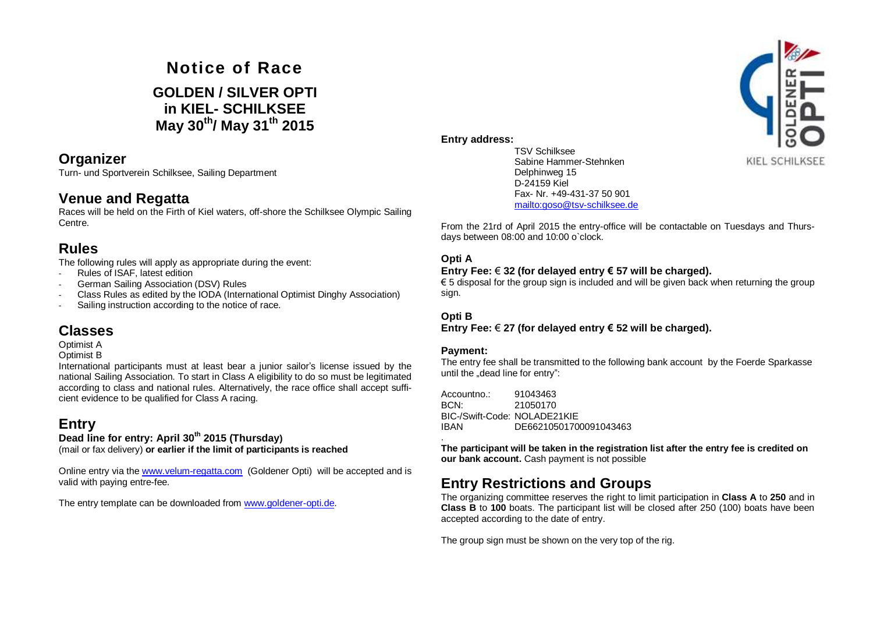# **Notice of Race GOLDEN / SILVER OPTI in KIEL- SCHILKSEE May 30 th / May 31 th 2015**

### **Organizer**

Turn- und Sportverein Schilksee, Sailing Department

## **Venue and Regatta**

Races will be held on the Firth of Kiel waters, off-shore the Schilksee Olympic Sailing Centre.

## **Rules**

The following rules will apply as appropriate during the event:

- Rules of ISAF, latest edition
- German Sailing Association (DSV) Rules
- Class Rules as edited by the IODA (International Optimist Dinghy Association)
- Sailing instruction according to the notice of race.

## **Classes**

Optimist A

Optimist B

International participants must at least bear a junior sailor's license issued by the national Sailing Association. To start in Class A eligibility to do so must be legitimated according to class and national rules. Alternatively, the race office shall accept sufficient evidence to be qualified for Class A racing.

# **Entry**

## **Dead line for entry: April 30 th 2015 (Thursday)**

(mail or fax delivery) **or earlier if the limit of participants is reached**

Online entry via the www.velum-regatta.com (Goldener Opti) will be accepted and is valid with paying entre-fee.

The entry template can be downloaded from www.goldener-opti.de.



TSV Schilksee Sabine Hammer-Stehnken Delphinweg 15 D-24159 Kiel Fax- Nr. +49-431-37 50 901 <mailto:goso@tsv-schilksee.de>

From the 21rd of April 2015 the entry-office will be contactable on Tuesdays and Thursdays between 08:00 and 10:00 o`clock.

#### **Opti A**

#### **Entry Fee:** € **32 (for delayed entry € 57 will be charged).**

€ 5 disposal for the group sign is included and will be given back when returning the group sign.

#### **Opti B**

**Entry Fee:** € **27 (for delayed entry € 52 will be charged).**

#### **Payment:**

The entry fee shall be transmitted to the following bank account by the Foerde Sparkasse until the "dead line for entry":

Accountno.: 91043463 BCN: 21050170 BIC-/Swift-Code: NOLADE21KIE IBAN DE66210501700091043463

. **The participant will be taken in the registration list after the entry fee is credited on our bank account.** Cash payment is not possible

## **Entry Restrictions and Groups**

The organizing committee reserves the right to limit participation in **Class A** to **250** and in **Class B** to **100** boats. The participant list will be closed after 250 (100) boats have been accepted according to the date of entry.

The group sign must be shown on the very top of the rig.